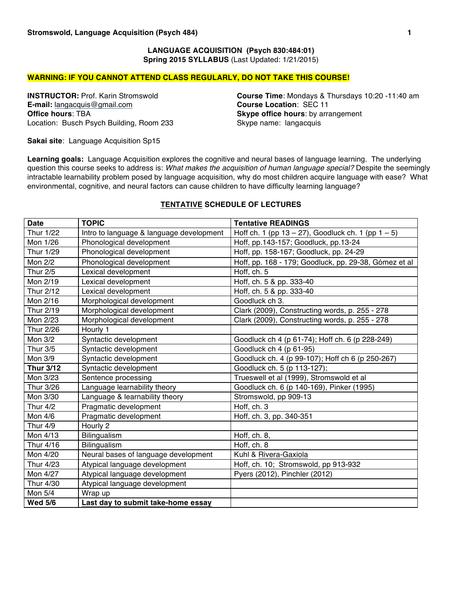## **LANGUAGE ACQUISITION (Psych 830:484:01) Spring 2015 SYLLABUS** (Last Updated: 1/21/2015)

#### **WARNING: IF YOU CANNOT ATTEND CLASS REGULARLY, DO NOT TAKE THIS COURSE!**

**E-mail:** langacquis@gmail.com **Office hours**: TBA Location: Busch Psych Building, Room 233

**INSTRUCTOR:** Prof. Karin Stromswold **Course Time**: Mondays & Thursdays 10:20 -11:40 am<br> **E-mail:** langacquis@gmail.com **Course Location:** SEC 11 **Skype office hours**: by arrangement Skype name: langacquis

**Sakai site**: Language Acquisition Sp15

**Learning goals:** Language Acquisition explores the cognitive and neural bases of language learning. The underlying question this course seeks to address is: *What makes the acquisition of human language special?* Despite the seemingly intractable learnability problem posed by language acquisition, why do most children acquire language with ease? What environmental, cognitive, and neural factors can cause children to have difficulty learning language?

| <b>Date</b>      | <b>TOPIC</b>                             | <b>Tentative READINGS</b>                                |
|------------------|------------------------------------------|----------------------------------------------------------|
| Thur 1/22        | Intro to language & language development | Hoff ch. 1 (pp $13 - 27$ ), Goodluck ch. 1 (pp $1 - 5$ ) |
| Mon 1/26         | Phonological development                 | Hoff, pp.143-157; Goodluck, pp.13-24                     |
| Thur 1/29        | Phonological development                 | Hoff, pp. 158-167; Goodluck, pp. 24-29                   |
| Mon 2/2          | Phonological development                 | Hoff, pp. 168 - 179; Goodluck, pp. 29-38, Gómez et al    |
| <b>Thur 2/5</b>  | Lexical development                      | Hoff, ch. 5                                              |
| Mon 2/19         | Lexical development                      | Hoff, ch. 5 & pp. 333-40                                 |
| Thur 2/12        | Lexical development                      | Hoff, ch. 5 & pp. 333-40                                 |
| Mon 2/16         | Morphological development                | Goodluck ch 3.                                           |
| Thur 2/19        | Morphological development                | Clark (2009), Constructing words, p. 255 - 278           |
| Mon 2/23         | Morphological development                | Clark (2009), Constructing words, p. 255 - 278           |
| Thur 2/26        | Hourly 1                                 |                                                          |
| Mon 3/2          | Syntactic development                    | Goodluck ch 4 (p 61-74); Hoff ch. 6 (p 228-249)          |
| Thur 3/5         | Syntactic development                    | Goodluck ch 4 (p 61-95)                                  |
| Mon 3/9          | Syntactic development                    | Goodluck ch. 4 (p 99-107); Hoff ch 6 (p 250-267)         |
| <b>Thur 3/12</b> | Syntactic development                    | Goodluck ch. 5 (p 113-127);                              |
| Mon 3/23         | Sentence processing                      | Trueswell et al (1999), Stromswold et al                 |
| Thur 3/26        | Language learnability theory             | Goodluck ch. 6 (p 140-169), Pinker (1995)                |
| Mon 3/30         | Language & learnability theory           | Stromswold, pp 909-13                                    |
| <b>Thur 4/2</b>  | Pragmatic development                    | Hoff, ch. 3                                              |
| Mon 4/6          | Pragmatic development                    | Hoff, ch. 3, pp. 340-351                                 |
| <b>Thur 4/9</b>  | Hourly 2                                 |                                                          |
| Mon 4/13         | Bilingualism                             | Hoff, ch. 8,                                             |
| Thur 4/16        | <b>Bilingualism</b>                      | Hoff, ch. 8                                              |
| Mon 4/20         | Neural bases of language development     | Kuhl & Rivera-Gaxiola                                    |
| Thur 4/23        | Atypical language development            | Hoff, ch. 10; Stromswold, pp 913-932                     |
| Mon 4/27         | Atypical language development            | Pyers (2012), Pinchler (2012)                            |
| Thur 4/30        | Atypical language development            |                                                          |
| Mon 5/4          | Wrap up                                  |                                                          |
| <b>Wed 5/6</b>   | Last day to submit take-home essay       |                                                          |

## **TENTATIVE SCHEDULE OF LECTURES**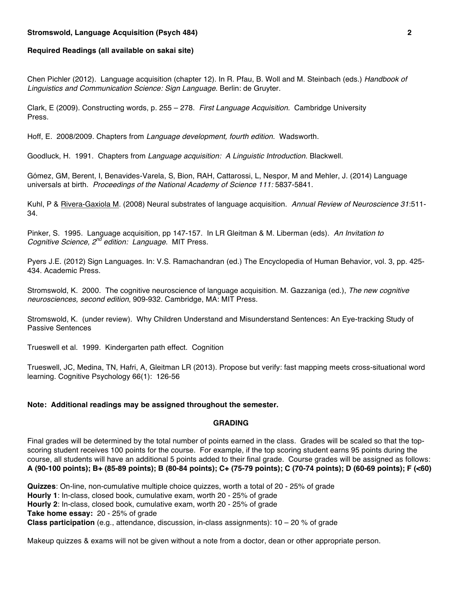#### **Stromswold, Language Acquisition (Psych 484) 2**

#### **Required Readings (all available on sakai site)**

Chen Pichler (2012). Language acquisition (chapter 12). In R. Pfau, B. Woll and M. Steinbach (eds.) *Handbook of Linguistics and Communication Science: Sign Language*. Berlin: de Gruyter.

Clark, E (2009). Constructing words, p. 255 – 278. *First Language Acquisition.* Cambridge University Press.

Hoff, E. 2008/2009. Chapters from *Language development, fourth edition*. Wadsworth.

Goodluck, H. 1991. Chapters from *Language acquisition: A Linguistic Introduction*. Blackwell.

Gómez, GM, Berent, I, Benavides-Varela, S, Bion, RAH, Cattarossi, L, Nespor, M and Mehler, J. (2014) Language universals at birth. *Proceedings of the National Academy of Science 111:* 5837-5841.

Kuhl, P & Rivera-Gaxiola M. (2008) Neural substrates of language acquisition. *Annual Review of Neuroscience 31*:511- 34.

Pinker, S. 1995. Language acquisition, pp 147-157. In LR Gleitman & M. Liberman (eds). *An Invitation to Cognitive Science, 2nd edition: Language*. MIT Press.

Pyers J.E. (2012) Sign Languages. In: V.S. Ramachandran (ed.) The Encyclopedia of Human Behavior, vol. 3, pp. 425- 434. Academic Press.

Stromswold, K. 2000. The cognitive neuroscience of language acquisition. M. Gazzaniga (ed.), *The new cognitive neurosciences, second edition*, 909-932. Cambridge, MA: MIT Press.

Stromswold, K. (under review). Why Children Understand and Misunderstand Sentences: An Eye-tracking Study of Passive Sentences

Trueswell et al. 1999. Kindergarten path effect. Cognition

Trueswell, JC, Medina, TN, Hafri, A, Gleitman LR (2013). Propose but verify: fast mapping meets cross-situational word learning. Cognitive Psychology 66(1): 126-56

#### **Note: Additional readings may be assigned throughout the semester.**

## **GRADING**

Final grades will be determined by the total number of points earned in the class. Grades will be scaled so that the topscoring student receives 100 points for the course. For example, if the top scoring student earns 95 points during the course, all students will have an additional 5 points added to their final grade. Course grades will be assigned as follows: **A (90-100 points); B+ (85-89 points); B (80-84 points); C+ (75-79 points); C (70-74 points); D (60-69 points); F (<60)**

**Quizzes**: On-line, non-cumulative multiple choice quizzes, worth a total of 20 - 25% of grade **Hourly 1**: In-class, closed book, cumulative exam, worth 20 - 25% of grade **Hourly 2**: In-class, closed book, cumulative exam, worth 20 - 25% of grade **Take home essay:** 20 - 25% of grade **Class participation** (e.g., attendance, discussion, in-class assignments): 10 – 20 % of grade

Makeup quizzes & exams will not be given without a note from a doctor, dean or other appropriate person.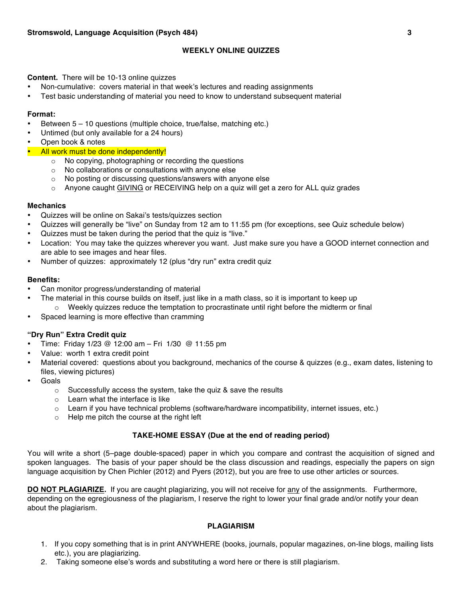# **WEEKLY ONLINE QUIZZES**

**Content.** There will be 10-13 online quizzes

- Non-cumulative: covers material in that week's lectures and reading assignments
- Test basic understanding of material you need to know to understand subsequent material

#### **Format:**

- Between 5 10 questions (multiple choice, true/false, matching etc.)
- Untimed (but only available for a 24 hours)
- Open book & notes
- **All work must be done independently!** 
	- o No copying, photographing or recording the questions
	- o No collaborations or consultations with anyone else
	- o No posting or discussing questions/answers with anyone else
	- $\circ$  Anyone caught GIVING or RECEIVING help on a quiz will get a zero for ALL quiz grades

#### **Mechanics**

- Quizzes will be online on Sakai's tests/quizzes section
- Quizzes will generally be "live" on Sunday from 12 am to 11:55 pm (for exceptions, see Quiz schedule below)
- Quizzes must be taken during the period that the quiz is "live."
- Location: You may take the quizzes wherever you want. Just make sure you have a GOOD internet connection and are able to see images and hear files.
- Number of quizzes: approximately 12 (plus "dry run" extra credit quiz

## **Benefits:**

- Can monitor progress/understanding of material
- The material in this course builds on itself, just like in a math class, so it is important to keep up  $\circ$  Weekly quizzes reduce the temptation to procrastinate until right before the midterm or final
- Spaced learning is more effective than cramming

## **"Dry Run" Extra Credit quiz**

- Time: Friday 1/23 @ 12:00 am Fri 1/30 @ 11:55 pm
- Value: worth 1 extra credit point
- Material covered: questions about you background, mechanics of the course & quizzes (e.g., exam dates, listening to files, viewing pictures)
- Goals
	- o Successfully access the system, take the quiz & save the results
	- o Learn what the interface is like
	- $\circ$  Learn if you have technical problems (software/hardware incompatibility, internet issues, etc.)
	- o Help me pitch the course at the right left

## **TAKE-HOME ESSAY (Due at the end of reading period)**

You will write a short (5–page double-spaced) paper in which you compare and contrast the acquisition of signed and spoken languages. The basis of your paper should be the class discussion and readings, especially the papers on sign language acquisition by Chen Pichler (2012) and Pyers (2012), but you are free to use other articles or sources.

**DO NOT PLAGIARIZE.** If you are caught plagiarizing, you will not receive for any of the assignments. Furthermore, depending on the egregiousness of the plagiarism, I reserve the right to lower your final grade and/or notify your dean about the plagiarism.

## **PLAGIARISM**

- 1. If you copy something that is in print ANYWHERE (books, journals, popular magazines, on-line blogs, mailing lists etc.), you are plagiarizing.
- 2. Taking someone else's words and substituting a word here or there is still plagiarism.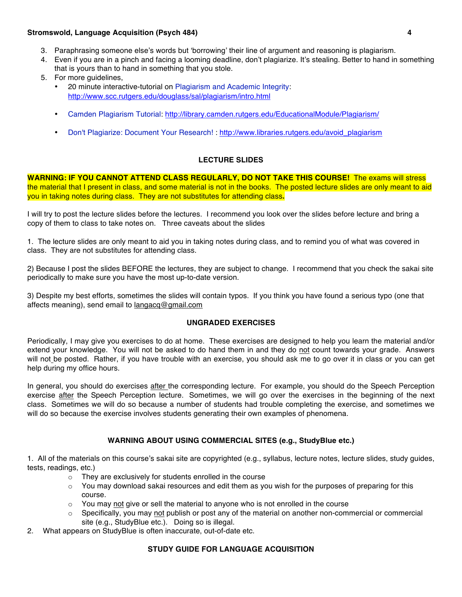## **Stromswold, Language Acquisition (Psych 484) 4**

- 3. Paraphrasing someone else's words but 'borrowing' their line of argument and reasoning is plagiarism.
- 4. Even if you are in a pinch and facing a looming deadline, don't plagiarize. It's stealing. Better to hand in something that is yours than to hand in something that you stole.
- 5. For more guidelines,
	- 20 minute interactive-tutorial on Plagiarism and Academic Integrity: http://www.scc.rutgers.edu/douglass/sal/plagiarism/intro.html
	- Camden Plagiarism Tutorial: http://library.camden.rutgers.edu/EducationalModule/Plagiarism/
	- Don't Plagiarize: Document Your Research! : http://www.libraries.rutgers.edu/avoid\_plagiarism

# **LECTURE SLIDES**

**WARNING: IF YOU CANNOT ATTEND CLASS REGULARLY, DO NOT TAKE THIS COURSE!** The exams will stress the material that I present in class, and some material is not in the books. The posted lecture slides are only meant to aid you in taking notes during class. They are not substitutes for attending class**.** 

I will try to post the lecture slides before the lectures. I recommend you look over the slides before lecture and bring a copy of them to class to take notes on. Three caveats about the slides

1. The lecture slides are only meant to aid you in taking notes during class, and to remind you of what was covered in class. They are not substitutes for attending class.

2) Because I post the slides BEFORE the lectures, they are subject to change. I recommend that you check the sakai site periodically to make sure you have the most up-to-date version.

3) Despite my best efforts, sometimes the slides will contain typos. If you think you have found a serious typo (one that affects meaning), send email to langacq@gmail.com

## **UNGRADED EXERCISES**

Periodically, I may give you exercises to do at home. These exercises are designed to help you learn the material and/or extend your knowledge. You will not be asked to do hand them in and they do not count towards your grade. Answers will not be posted. Rather, if you have trouble with an exercise, you should ask me to go over it in class or you can get help during my office hours.

In general, you should do exercises after the corresponding lecture. For example, you should do the Speech Perception exercise after the Speech Perception lecture. Sometimes, we will go over the exercises in the beginning of the next class. Sometimes we will do so because a number of students had trouble completing the exercise, and sometimes we will do so because the exercise involves students generating their own examples of phenomena.

## **WARNING ABOUT USING COMMERCIAL SITES (e.g., StudyBlue etc.)**

1. All of the materials on this course's sakai site are copyrighted (e.g., syllabus, lecture notes, lecture slides, study guides, tests, readings, etc.)

- o They are exclusively for students enrolled in the course
- $\circ$  You may download sakai resources and edit them as you wish for the purposes of preparing for this course.
- $\circ$  You may not give or sell the material to anyone who is not enrolled in the course
- $\circ$  Specifically, you may not publish or post any of the material on another non-commercial or commercial site (e.g., StudyBlue etc.). Doing so is illegal.
- 2. What appears on StudyBlue is often inaccurate, out-of-date etc.

## **STUDY GUIDE FOR LANGUAGE ACQUISITION**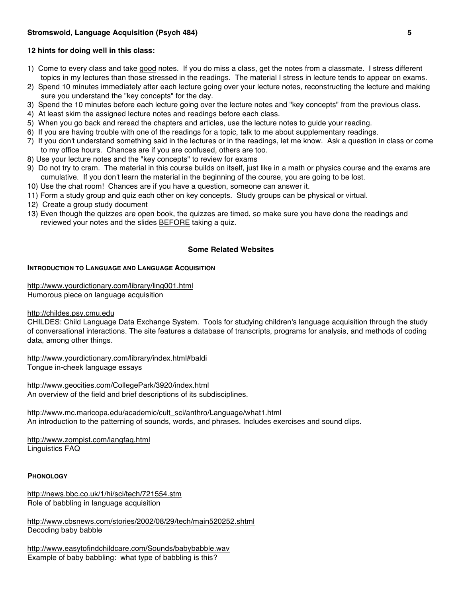# **12 hints for doing well in this class:**

- 1) Come to every class and take good notes. If you do miss a class, get the notes from a classmate. I stress different topics in my lectures than those stressed in the readings. The material I stress in lecture tends to appear on exams.
- 2) Spend 10 minutes immediately after each lecture going over your lecture notes, reconstructing the lecture and making sure you understand the "key concepts" for the day.
- 3) Spend the 10 minutes before each lecture going over the lecture notes and "key concepts" from the previous class.
- 4) At least skim the assigned lecture notes and readings before each class.
- 5) When you go back and reread the chapters and articles, use the lecture notes to guide your reading.
- 6) If you are having trouble with one of the readings for a topic, talk to me about supplementary readings.
- 7) If you don't understand something said in the lectures or in the readings, let me know. Ask a question in class or come to my office hours. Chances are if you are confused, others are too.
- 8) Use your lecture notes and the "key concepts" to review for exams
- 9) Do not try to cram. The material in this course builds on itself, just like in a math or physics course and the exams are cumulative. If you don't learn the material in the beginning of the course, you are going to be lost.
- 10) Use the chat room! Chances are if you have a question, someone can answer it.
- 11) Form a study group and quiz each other on key concepts. Study groups can be physical or virtual.
- 12) Create a group study document
- 13) Even though the quizzes are open book, the quizzes are timed, so make sure you have done the readings and reviewed your notes and the slides BEFORE taking a quiz.

## **Some Related Websites**

## **INTRODUCTION TO LANGUAGE AND LANGUAGE ACQUISITION**

http://www.yourdictionary.com/library/ling001.html Humorous piece on language acquisition

http://childes.psy.cmu.edu

CHILDES: Child Language Data Exchange System. Tools for studying children's language acquisition through the study of conversational interactions. The site features a database of transcripts, programs for analysis, and methods of coding data, among other things.

http://www.yourdictionary.com/library/index.html#baldi Tongue in-cheek language essays

http://www.geocities.com/CollegePark/3920/index.html An overview of the field and brief descriptions of its subdisciplines.

http://www.mc.maricopa.edu/academic/cult\_sci/anthro/Language/what1.html An introduction to the patterning of sounds, words, and phrases. Includes exercises and sound clips.

http://www.zompist.com/langfaq.html Linguistics FAQ

#### **PHONOLOGY**

http://news.bbc.co.uk/1/hi/sci/tech/721554.stm Role of babbling in language acquisition

http://www.cbsnews.com/stories/2002/08/29/tech/main520252.shtml Decoding baby babble

http://www.easytofindchildcare.com/Sounds/babybabble.wav Example of baby babbling: what type of babbling is this?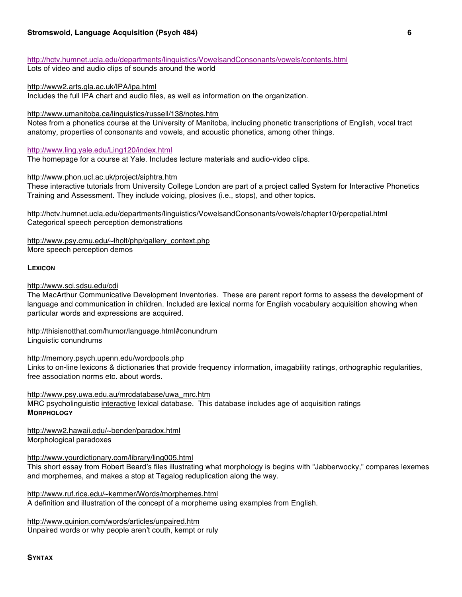http://hctv.humnet.ucla.edu/departments/linguistics/VowelsandConsonants/vowels/contents.html

Lots of video and audio clips of sounds around the world

http://www2.arts.gla.ac.uk/IPA/ipa.html

Includes the full IPA chart and audio files, as well as information on the organization.

http://www.umanitoba.ca/linguistics/russell/138/notes.htm

Notes from a phonetics course at the University of Manitoba, including phonetic transcriptions of English, vocal tract anatomy, properties of consonants and vowels, and acoustic phonetics, among other things.

http://www.ling.yale.edu/Ling120/index.html

The homepage for a course at Yale. Includes lecture materials and audio-video clips.

http://www.phon.ucl.ac.uk/project/siphtra.htm

These interactive tutorials from University College London are part of a project called System for Interactive Phonetics Training and Assessment. They include voicing, plosives (i.e., stops), and other topics.

http://hctv.humnet.ucla.edu/departments/linguistics/VowelsandConsonants/vowels/chapter10/percpetial.html Categorical speech perception demonstrations

http://www.psy.cmu.edu/~lholt/php/gallery\_context.php More speech perception demos

## **LEXICON**

http://www.sci.sdsu.edu/cdi

The MacArthur Communicative Development Inventories. These are parent report forms to assess the development of language and communication in children. Included are lexical norms for English vocabulary acquisition showing when particular words and expressions are acquired.

http://thisisnotthat.com/humor/language.html#conundrum Linguistic conundrums

http://memory.psych.upenn.edu/wordpools.php

Links to on-line lexicons & dictionaries that provide frequency information, imagability ratings, orthographic regularities, free association norms etc. about words.

http://www.psy.uwa.edu.au/mrcdatabase/uwa\_mrc.htm MRC psycholinguistic interactive lexical database. This database includes age of acquisition ratings **MORPHOLOGY**

http://www2.hawaii.edu/~bender/paradox.html Morphological paradoxes

http://www.yourdictionary.com/library/ling005.html

This short essay from Robert Beard's files illustrating what morphology is begins with "Jabberwocky," compares lexemes and morphemes, and makes a stop at Tagalog reduplication along the way.

http://www.ruf.rice.edu/~kemmer/Words/morphemes.html

A definition and illustration of the concept of a morpheme using examples from English.

http://www.quinion.com/words/articles/unpaired.htm Unpaired words or why people aren't couth, kempt or ruly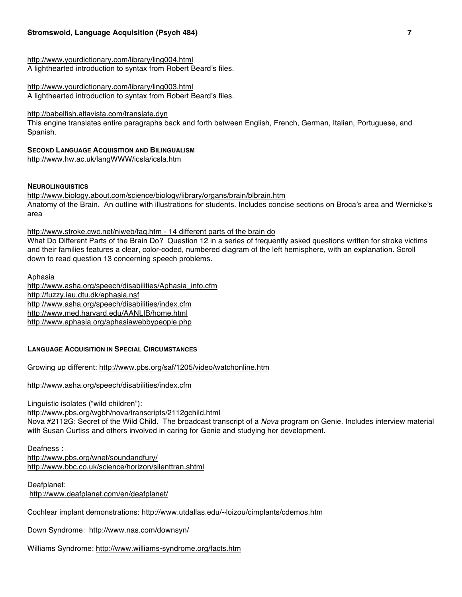## **Stromswold, Language Acquisition (Psych 484) 7**

http://www.yourdictionary.com/library/ling004.html A lighthearted introduction to syntax from Robert Beard's files.

http://www.yourdictionary.com/library/ling003.html A lighthearted introduction to syntax from Robert Beard's files.

http://babelfish.altavista.com/translate.dyn

This engine translates entire paragraphs back and forth between English, French, German, Italian, Portuguese, and Spanish.

**SECOND LANGUAGE ACQUISITION AND BILINGUALISM** http://www.hw.ac.uk/langWWW/icsla/icsla.htm

#### **NEUROLINGUISTICS**

http://www.biology.about.com/science/biology/library/organs/brain/blbrain.htm Anatomy of the Brain. An outline with illustrations for students. Includes concise sections on Broca's area and Wernicke's area

http://www.stroke.cwc.net/niweb/faq.htm - 14 different parts of the brain do

What Do Different Parts of the Brain Do? Question 12 in a series of frequently asked questions written for stroke victims and their families features a clear, color-coded, numbered diagram of the left hemisphere, with an explanation. Scroll down to read question 13 concerning speech problems.

Aphasia http://www.asha.org/speech/disabilities/Aphasia\_info.cfm http://fuzzy.iau.dtu.dk/aphasia.nsf http://www.asha.org/speech/disabilities/index.cfm http://www.med.harvard.edu/AANLIB/home.html http://www.aphasia.org/aphasiawebbypeople.php

## **LANGUAGE ACQUISITION IN SPECIAL CIRCUMSTANCES**

Growing up different: http://www.pbs.org/saf/1205/video/watchonline.htm

http://www.asha.org/speech/disabilities/index.cfm

Linguistic isolates ("wild children"):

http://www.pbs.org/wgbh/nova/transcripts/2112gchild.html Nova #2112G: Secret of the Wild Child. The broadcast transcript of a *Nova* program on Genie. Includes interview material with Susan Curtiss and others involved in caring for Genie and studying her development.

Deafness : http://www.pbs.org/wnet/soundandfury/ http://www.bbc.co.uk/science/horizon/silenttran.shtml

Deafplanet: http://www.deafplanet.com/en/deafplanet/

Cochlear implant demonstrations: http://www.utdallas.edu/~loizou/cimplants/cdemos.htm

Down Syndrome: http://www.nas.com/downsyn/

Williams Syndrome: http://www.williams-syndrome.org/facts.htm